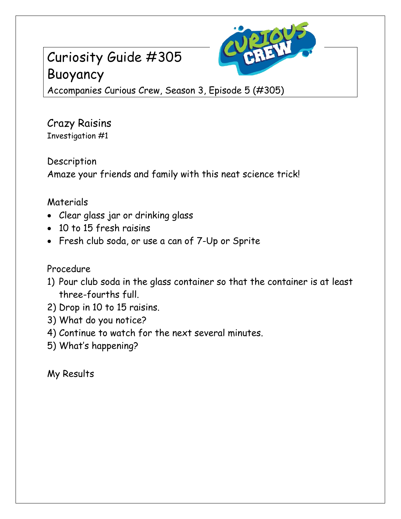# Curiosity Guide #305 Buoyancy



Accompanies Curious Crew, Season 3, Episode 5 (#305)

Crazy Raisins Investigation #1

Description Amaze your friends and family with this neat science trick!

### Materials

- Clear glass jar or drinking glass
- 10 to 15 fresh raisins
- Fresh club soda, or use a can of 7-Up or Sprite

### Procedure

- 1) Pour club soda in the glass container so that the container is at least three-fourths full.
- 2) Drop in 10 to 15 raisins.
- 3) What do you notice?
- 4) Continue to watch for the next several minutes.
- 5) What's happening?

## My Results